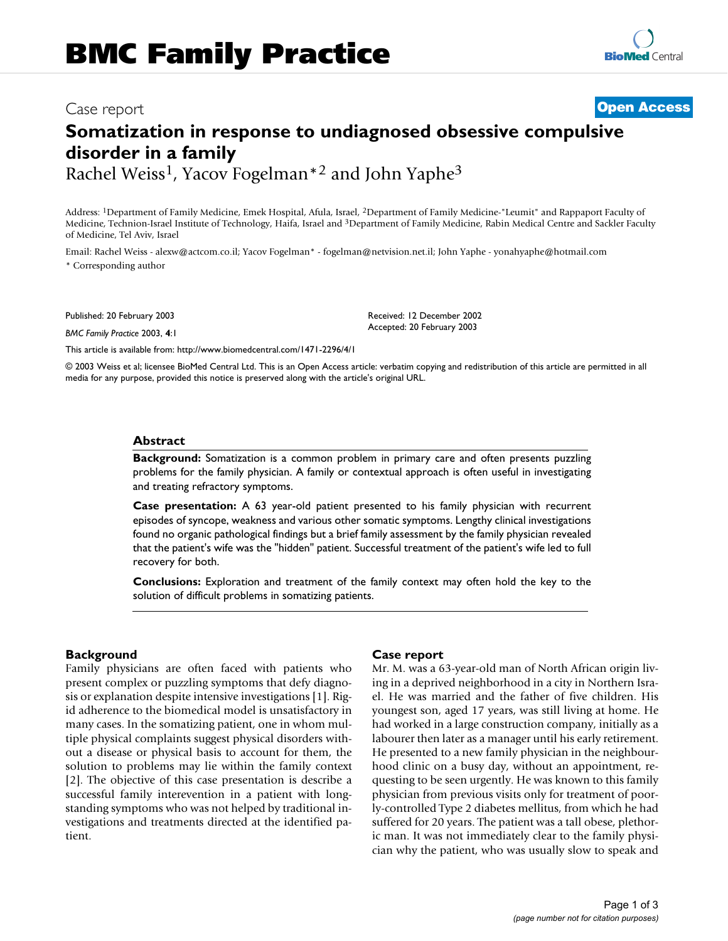## Case report **[Open Access](http://www.biomedcentral.com/info/about/charter/)**

# **Somatization in response to undiagnosed obsessive compulsive disorder in a family**

Rachel Weiss<sup>1</sup>, Yacov Fogelman<sup>\*2</sup> and John Yaphe<sup>3</sup>

Address: 1Department of Family Medicine, Emek Hospital, Afula, Israel, 2Department of Family Medicine-"Leumit" and Rappaport Faculty of Medicine, Technion-Israel Institute of Technology, Haifa, Israel and 3Department of Family Medicine, Rabin Medical Centre and Sackler Faculty of Medicine, Tel Aviv, Israel

Email: Rachel Weiss - alexw@actcom.co.il; Yacov Fogelman\* - fogelman@netvision.net.il; John Yaphe - yonahyaphe@hotmail.com \* Corresponding author

Published: 20 February 2003

*BMC Family Practice* 2003, **4**:1

[This article is available from: http://www.biomedcentral.com/1471-2296/4/1](http://www.biomedcentral.com/1471-2296/4/1)

© 2003 Weiss et al; licensee BioMed Central Ltd. This is an Open Access article: verbatim copying and redistribution of this article are permitted in all media for any purpose, provided this notice is preserved along with the article's original URL.

Received: 12 December 2002 Accepted: 20 February 2003

#### **Abstract**

**Background:** Somatization is a common problem in primary care and often presents puzzling problems for the family physician. A family or contextual approach is often useful in investigating and treating refractory symptoms.

**Case presentation:** A 63 year-old patient presented to his family physician with recurrent episodes of syncope, weakness and various other somatic symptoms. Lengthy clinical investigations found no organic pathological findings but a brief family assessment by the family physician revealed that the patient's wife was the "hidden" patient. Successful treatment of the patient's wife led to full recovery for both.

**Conclusions:** Exploration and treatment of the family context may often hold the key to the solution of difficult problems in somatizing patients.

### **Background**

Family physicians are often faced with patients who present complex or puzzling symptoms that defy diagnosis or explanation despite intensive investigations [1]. Rigid adherence to the biomedical model is unsatisfactory in many cases. In the somatizing patient, one in whom multiple physical complaints suggest physical disorders without a disease or physical basis to account for them, the solution to problems may lie within the family context [2]. The objective of this case presentation is describe a successful family interevention in a patient with longstanding symptoms who was not helped by traditional investigations and treatments directed at the identified patient.

#### **Case report**

Mr. M. was a 63-year-old man of North African origin living in a deprived neighborhood in a city in Northern Israel. He was married and the father of five children. His youngest son, aged 17 years, was still living at home. He had worked in a large construction company, initially as a labourer then later as a manager until his early retirement. He presented to a new family physician in the neighbourhood clinic on a busy day, without an appointment, requesting to be seen urgently. He was known to this family physician from previous visits only for treatment of poorly-controlled Type 2 diabetes mellitus, from which he had suffered for 20 years. The patient was a tall obese, plethoric man. It was not immediately clear to the family physician why the patient, who was usually slow to speak and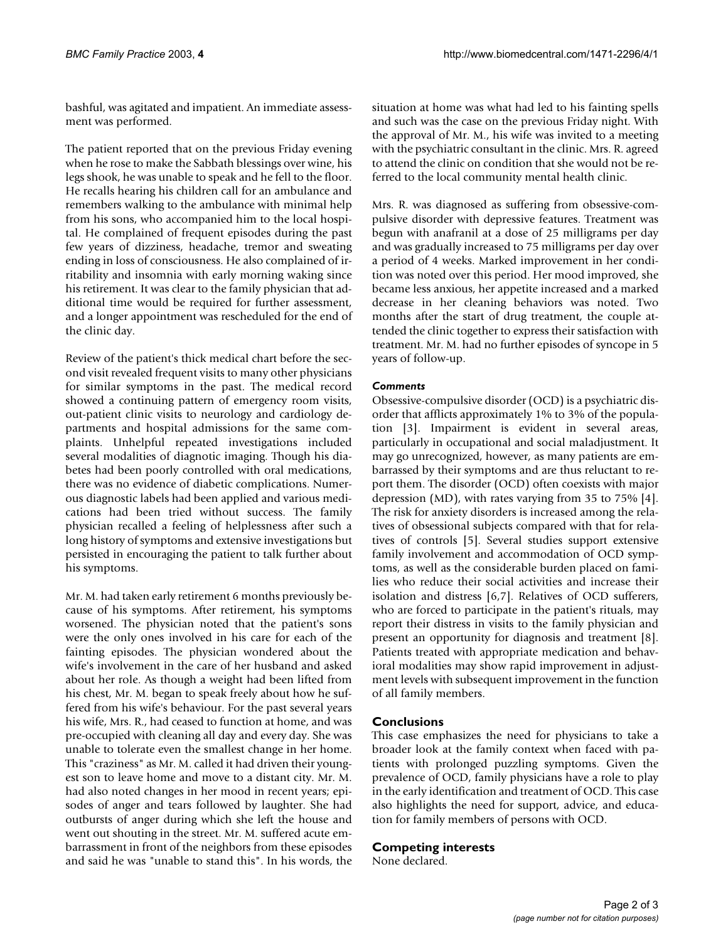bashful, was agitated and impatient. An immediate assessment was performed.

The patient reported that on the previous Friday evening when he rose to make the Sabbath blessings over wine, his legs shook, he was unable to speak and he fell to the floor. He recalls hearing his children call for an ambulance and remembers walking to the ambulance with minimal help from his sons, who accompanied him to the local hospital. He complained of frequent episodes during the past few years of dizziness, headache, tremor and sweating ending in loss of consciousness. He also complained of irritability and insomnia with early morning waking since his retirement. It was clear to the family physician that additional time would be required for further assessment, and a longer appointment was rescheduled for the end of the clinic day.

Review of the patient's thick medical chart before the second visit revealed frequent visits to many other physicians for similar symptoms in the past. The medical record showed a continuing pattern of emergency room visits, out-patient clinic visits to neurology and cardiology departments and hospital admissions for the same complaints. Unhelpful repeated investigations included several modalities of diagnotic imaging. Though his diabetes had been poorly controlled with oral medications, there was no evidence of diabetic complications. Numerous diagnostic labels had been applied and various medications had been tried without success. The family physician recalled a feeling of helplessness after such a long history of symptoms and extensive investigations but persisted in encouraging the patient to talk further about his symptoms.

Mr. M. had taken early retirement 6 months previously because of his symptoms. After retirement, his symptoms worsened. The physician noted that the patient's sons were the only ones involved in his care for each of the fainting episodes. The physician wondered about the wife's involvement in the care of her husband and asked about her role. As though a weight had been lifted from his chest, Mr. M. began to speak freely about how he suffered from his wife's behaviour. For the past several years his wife, Mrs. R., had ceased to function at home, and was pre-occupied with cleaning all day and every day. She was unable to tolerate even the smallest change in her home. This "craziness" as Mr. M. called it had driven their youngest son to leave home and move to a distant city. Mr. M. had also noted changes in her mood in recent years; episodes of anger and tears followed by laughter. She had outbursts of anger during which she left the house and went out shouting in the street. Mr. M. suffered acute embarrassment in front of the neighbors from these episodes and said he was "unable to stand this". In his words, the situation at home was what had led to his fainting spells and such was the case on the previous Friday night. With the approval of Mr. M., his wife was invited to a meeting with the psychiatric consultant in the clinic. Mrs. R. agreed to attend the clinic on condition that she would not be referred to the local community mental health clinic.

Mrs. R. was diagnosed as suffering from obsessive-compulsive disorder with depressive features. Treatment was begun with anafranil at a dose of 25 milligrams per day and was gradually increased to 75 milligrams per day over a period of 4 weeks. Marked improvement in her condition was noted over this period. Her mood improved, she became less anxious, her appetite increased and a marked decrease in her cleaning behaviors was noted. Two months after the start of drug treatment, the couple attended the clinic together to express their satisfaction with treatment. Mr. M. had no further episodes of syncope in 5 years of follow-up.

## *Comments*

Obsessive-compulsive disorder (OCD) is a psychiatric disorder that afflicts approximately 1% to 3% of the population [3]. Impairment is evident in several areas, particularly in occupational and social maladjustment. It may go unrecognized, however, as many patients are embarrassed by their symptoms and are thus reluctant to report them. The disorder (OCD) often coexists with major depression (MD), with rates varying from 35 to 75% [4]. The risk for anxiety disorders is increased among the relatives of obsessional subjects compared with that for relatives of controls [5]. Several studies support extensive family involvement and accommodation of OCD symptoms, as well as the considerable burden placed on families who reduce their social activities and increase their isolation and distress [6,7]. Relatives of OCD sufferers, who are forced to participate in the patient's rituals, may report their distress in visits to the family physician and present an opportunity for diagnosis and treatment [8]. Patients treated with appropriate medication and behavioral modalities may show rapid improvement in adjustment levels with subsequent improvement in the function of all family members.

## **Conclusions**

This case emphasizes the need for physicians to take a broader look at the family context when faced with patients with prolonged puzzling symptoms. Given the prevalence of OCD, family physicians have a role to play in the early identification and treatment of OCD. This case also highlights the need for support, advice, and education for family members of persons with OCD.

## **Competing interests**

None declared.